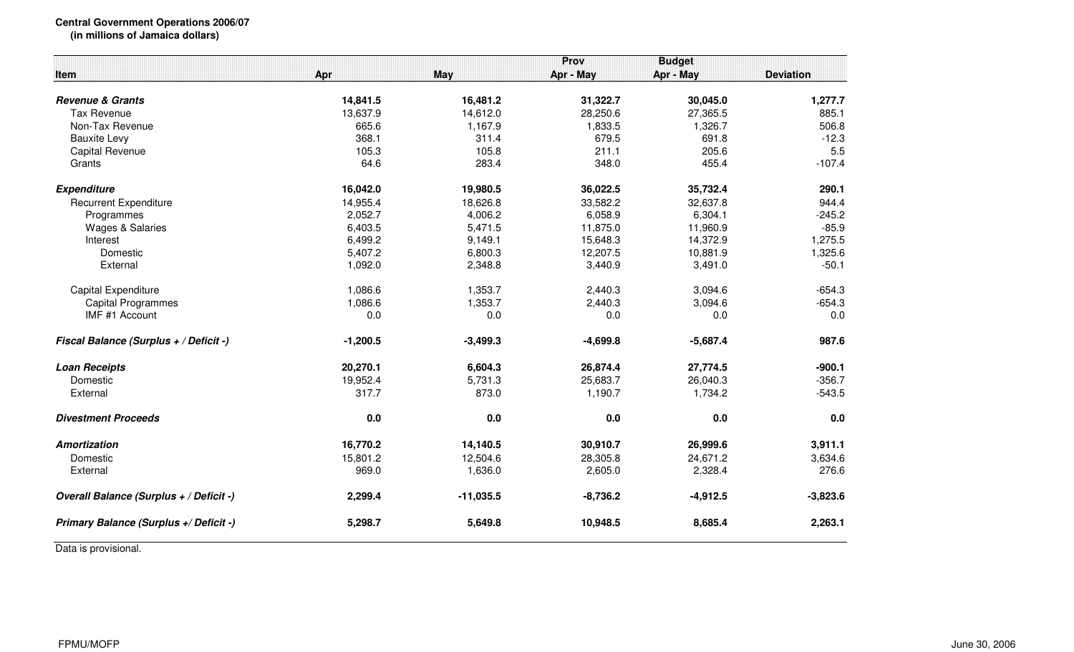## **Central Government Operations 2006/07**

**(in millions of Jamaica dollars)**

|                                         |            |             | Prov       | <b>Budget</b> |                  |
|-----------------------------------------|------------|-------------|------------|---------------|------------------|
| Item                                    | Apr        | May         | Apr - May  | Apr - May     | <b>Deviation</b> |
|                                         |            |             |            |               |                  |
| <b>Revenue &amp; Grants</b>             | 14,841.5   | 16,481.2    | 31,322.7   | 30,045.0      | 1,277.7          |
| <b>Tax Revenue</b>                      | 13,637.9   | 14,612.0    | 28,250.6   | 27,365.5      | 885.1            |
| Non-Tax Revenue                         | 665.6      | 1,167.9     | 1,833.5    | 1,326.7       | 506.8            |
| <b>Bauxite Levy</b>                     | 368.1      | 311.4       | 679.5      | 691.8         | $-12.3$          |
| <b>Capital Revenue</b>                  | 105.3      | 105.8       | 211.1      | 205.6         | 5.5              |
| Grants                                  | 64.6       | 283.4       | 348.0      | 455.4         | $-107.4$         |
| <b>Expenditure</b>                      | 16,042.0   | 19,980.5    | 36,022.5   | 35,732.4      | 290.1            |
| <b>Recurrent Expenditure</b>            | 14,955.4   | 18,626.8    | 33,582.2   | 32,637.8      | 944.4            |
| Programmes                              | 2,052.7    | 4,006.2     | 6,058.9    | 6,304.1       | $-245.2$         |
| <b>Wages &amp; Salaries</b>             | 6,403.5    | 5,471.5     | 11,875.0   | 11,960.9      | $-85.9$          |
| Interest                                | 6,499.2    | 9,149.1     | 15,648.3   | 14,372.9      | 1,275.5          |
| Domestic                                | 5,407.2    | 6,800.3     | 12,207.5   | 10,881.9      | 1,325.6          |
| External                                | 1,092.0    | 2,348.8     | 3,440.9    | 3,491.0       | $-50.1$          |
| Capital Expenditure                     | 1,086.6    | 1,353.7     | 2,440.3    | 3,094.6       | $-654.3$         |
| <b>Capital Programmes</b>               | 1,086.6    | 1,353.7     | 2,440.3    | 3,094.6       | $-654.3$         |
| IMF #1 Account                          | 0.0        | 0.0         | 0.0        | 0.0           | 0.0              |
|                                         |            |             |            |               |                  |
| Fiscal Balance (Surplus + / Deficit -)  | $-1,200.5$ | $-3,499.3$  | $-4,699.8$ | $-5,687.4$    | 987.6            |
| <b>Loan Receipts</b>                    | 20,270.1   | 6,604.3     | 26,874.4   | 27,774.5      | $-900.1$         |
| Domestic                                | 19,952.4   | 5,731.3     | 25,683.7   | 26,040.3      | $-356.7$         |
| External                                | 317.7      | 873.0       | 1,190.7    | 1,734.2       | $-543.5$         |
| <b>Divestment Proceeds</b>              | 0.0        | 0.0         | 0.0        | 0.0           | 0.0              |
| <b>Amortization</b>                     | 16,770.2   | 14,140.5    | 30,910.7   | 26,999.6      | 3,911.1          |
| Domestic                                | 15,801.2   | 12,504.6    | 28,305.8   | 24,671.2      | 3,634.6          |
| External                                | 969.0      | 1,636.0     | 2,605.0    | 2,328.4       | 276.6            |
| Overall Balance (Surplus + / Deficit -) | 2,299.4    | $-11,035.5$ | $-8,736.2$ | $-4,912.5$    | $-3,823.6$       |
| Primary Balance (Surplus +/ Deficit -)  | 5,298.7    | 5,649.8     | 10,948.5   | 8,685.4       | 2,263.1          |

Data is provisional.